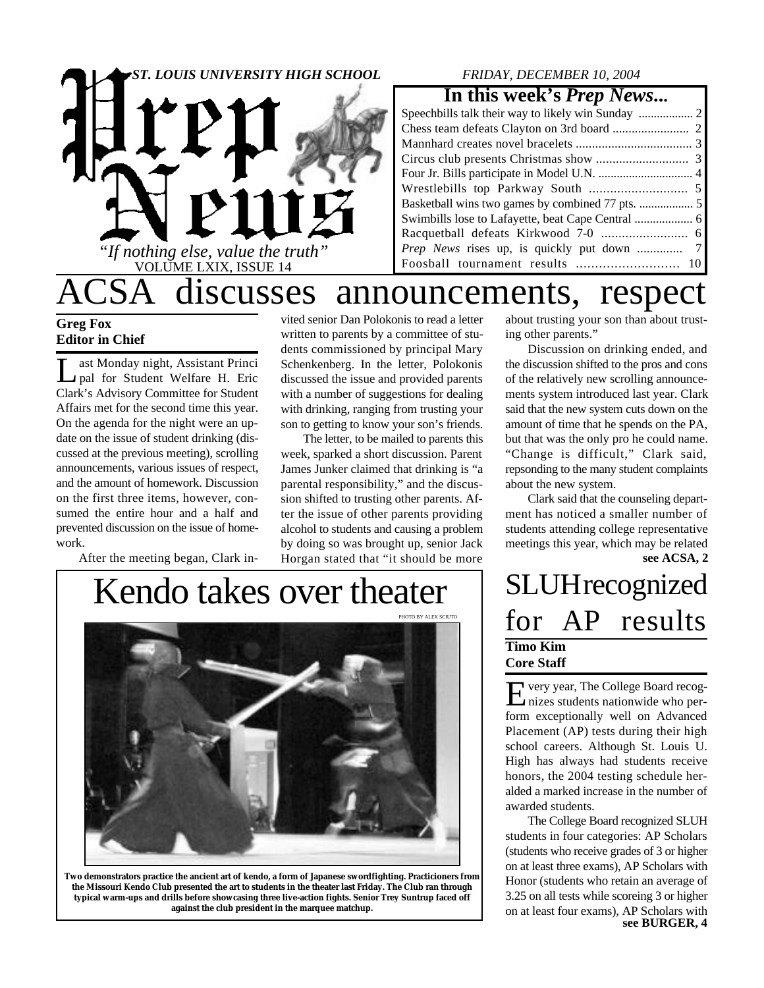

## *FRIDAY, DECEMBER 10, 2004*

## **In this week's** *Prep News***...**

# discusses announcements, respect

## **Greg Fox Editor in Chief**

 $\prod_{\alpha}$ ast Monday night, Assistant Princi pal for Student Welfare H. Eric Clark's Advisory Committee for Student Affairs met for the second time this year. On the agenda for the night were an update on the issue of student drinking (discussed at the previous meeting), scrolling announcements, various issues of respect, and the amount of homework. Discussion on the first three items, however, consumed the entire hour and a half and prevented discussion on the issue of homework.

After the meeting began, Clark in-

vited senior Dan Polokonis to read a letter written to parents by a committee of students commissioned by principal Mary Schenkenberg. In the letter, Polokonis discussed the issue and provided parents with a number of suggestions for dealing with drinking, ranging from trusting your son to getting to know your son's friends.

The letter, to be mailed to parents this week, sparked a short discussion. Parent James Junker claimed that drinking is "a parental responsibility," and the discussion shifted to trusting other parents. After the issue of other parents providing alcohol to students and causing a problem by doing so was brought up, senior Jack Horgan stated that "it should be more

# Kendo takes over theater



**Two demonstrators practice the ancient art of kendo, a form of Japanese swordfighting. Practicioners from the Missouri Kendo Club presented the art to students in the theater last Friday. The Club ran through typical warm-ups and drills before showcasing three live-action fights. Senior Trey Suntrup faced off against the club president in the marquee matchup.**

about trusting your son than about trusting other parents."

Discussion on drinking ended, and the discussion shifted to the pros and cons of the relatively new scrolling announcements system introduced last year. Clark said that the new system cuts down on the amount of time that he spends on the PA, but that was the only pro he could name. "Change is difficult," Clark said, repsonding to the many student complaints about the new system.

**see ACSA, 2** Clark said that the counseling department has noticed a smaller number of students attending college representative meetings this year, which may be related

## **SLUH** recognized for AP results **Timo Kim Core Staff**

E very year, The College Board recog-<br>nizes students nationwide who pervery year, The College Board recogform exceptionally well on Advanced Placement (AP) tests during their high school careers. Although St. Louis U. High has always had students receive honors, the 2004 testing schedule heralded a marked increase in the number of awarded students.

The College Board recognized SLUH students in four categories: AP Scholars (students who receive grades of 3 or higher on at least three exams), AP Scholars with Honor (students who retain an average of 3.25 on all tests while scoreing 3 or higher on at least four exams), AP Scholars with **see BURGER, 4**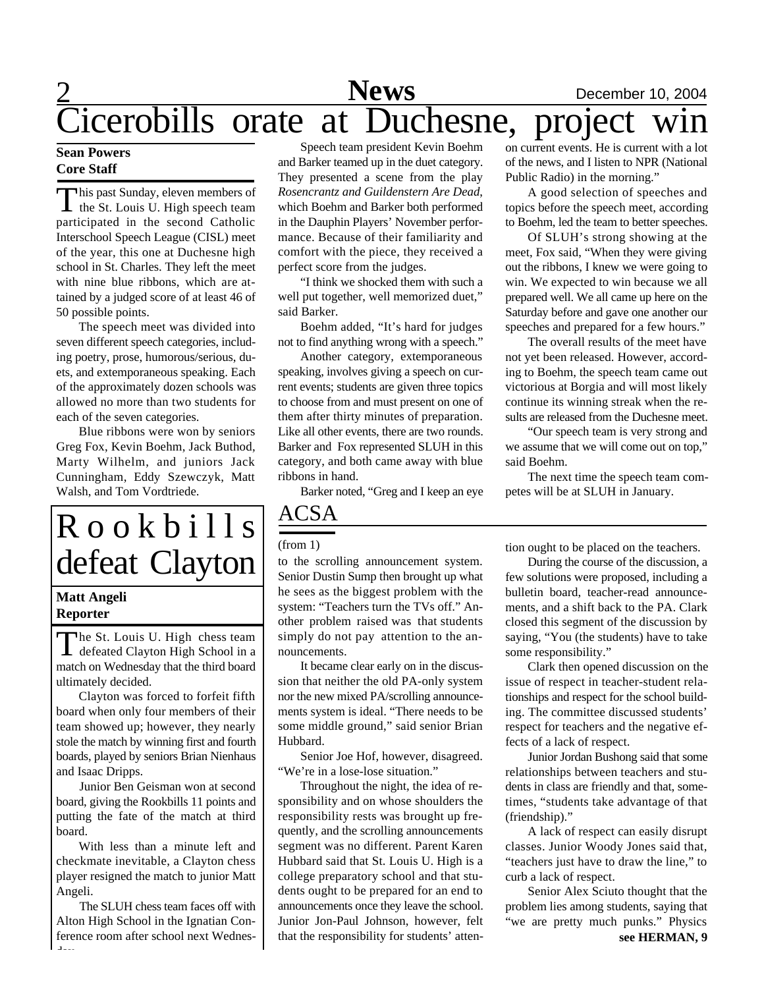## 2 **News** December 10, 2004<br>at Duchesne, project win **Cicerobills orate at Duchesne, project**

## **Sean Powers Core Staff**

This past Sunday, eleven members of<br>the St. Louis U. High speech team his past Sunday, eleven members of participated in the second Catholic Interschool Speech League (CISL) meet of the year, this one at Duchesne high school in St. Charles. They left the meet with nine blue ribbons, which are attained by a judged score of at least 46 of 50 possible points.

The speech meet was divided into seven different speech categories, including poetry, prose, humorous/serious, duets, and extemporaneous speaking. Each of the approximately dozen schools was allowed no more than two students for each of the seven categories.

Blue ribbons were won by seniors Greg Fox, Kevin Boehm, Jack Buthod, Marty Wilhelm, and juniors Jack Cunningham, Eddy Szewczyk, Matt Walsh, and Tom Vordtriede.

# $R$  o o k b i l l s defeat Clayton

## **Matt Angeli Reporter**

The St. Louis U. High chess team<br>defeated Clayton High School in a The St. Louis U. High chess team match on Wednesday that the third board ultimately decided.

Clayton was forced to forfeit fifth board when only four members of their team showed up; however, they nearly stole the match by winning first and fourth boards, played by seniors Brian Nienhaus and Isaac Dripps.

Junior Ben Geisman won at second board, giving the Rookbills 11 points and putting the fate of the match at third board.

With less than a minute left and checkmate inevitable, a Clayton chess player resigned the match to junior Matt Angeli.

The SLUH chess team faces off with Alton High School in the Ignatian Conference room after school next Wednesday.

Speech team president Kevin Boehm and Barker teamed up in the duet category. They presented a scene from the play *Rosencrantz and Guildenstern Are Dead*, which Boehm and Barker both performed in the Dauphin Players' November performance. Because of their familiarity and comfort with the piece, they received a perfect score from the judges.

"I think we shocked them with such a well put together, well memorized duet," said Barker.

Boehm added, "It's hard for judges not to find anything wrong with a speech."

Another category, extemporaneous speaking, involves giving a speech on current events; students are given three topics to choose from and must present on one of them after thirty minutes of preparation. Like all other events, there are two rounds. Barker and Fox represented SLUH in this category, and both came away with blue ribbons in hand.

Barker noted, "Greg and I keep an eye

## ACSA

## (from 1)

to the scrolling announcement system. Senior Dustin Sump then brought up what he sees as the biggest problem with the system: "Teachers turn the TVs off." Another problem raised was that students simply do not pay attention to the announcements.

It became clear early on in the discussion that neither the old PA-only system nor the new mixed PA/scrolling announcements system is ideal. "There needs to be some middle ground," said senior Brian Hubbard.

Senior Joe Hof, however, disagreed. "We're in a lose-lose situation."

Throughout the night, the idea of responsibility and on whose shoulders the responsibility rests was brought up frequently, and the scrolling announcements segment was no different. Parent Karen Hubbard said that St. Louis U. High is a college preparatory school and that students ought to be prepared for an end to announcements once they leave the school. Junior Jon-Paul Johnson, however, felt that the responsibility for students' atten-

on current events. He is current with a lot of the news, and I listen to NPR (National Public Radio) in the morning."

A good selection of speeches and topics before the speech meet, according to Boehm, led the team to better speeches.

Of SLUH's strong showing at the meet, Fox said, "When they were giving out the ribbons, I knew we were going to win. We expected to win because we all prepared well. We all came up here on the Saturday before and gave one another our speeches and prepared for a few hours."

The overall results of the meet have not yet been released. However, according to Boehm, the speech team came out victorious at Borgia and will most likely continue its winning streak when the results are released from the Duchesne meet.

"Our speech team is very strong and we assume that we will come out on top," said Boehm.

The next time the speech team competes will be at SLUH in January.

tion ought to be placed on the teachers.

During the course of the discussion, a few solutions were proposed, including a bulletin board, teacher-read announcements, and a shift back to the PA. Clark closed this segment of the discussion by saying, "You (the students) have to take some responsibility."

Clark then opened discussion on the issue of respect in teacher-student relationships and respect for the school building. The committee discussed students' respect for teachers and the negative effects of a lack of respect.

Junior Jordan Bushong said that some relationships between teachers and students in class are friendly and that, sometimes, "students take advantage of that (friendship)."

A lack of respect can easily disrupt classes. Junior Woody Jones said that, "teachers just have to draw the line," to curb a lack of respect.

Senior Alex Sciuto thought that the problem lies among students, saying that "we are pretty much punks." Physics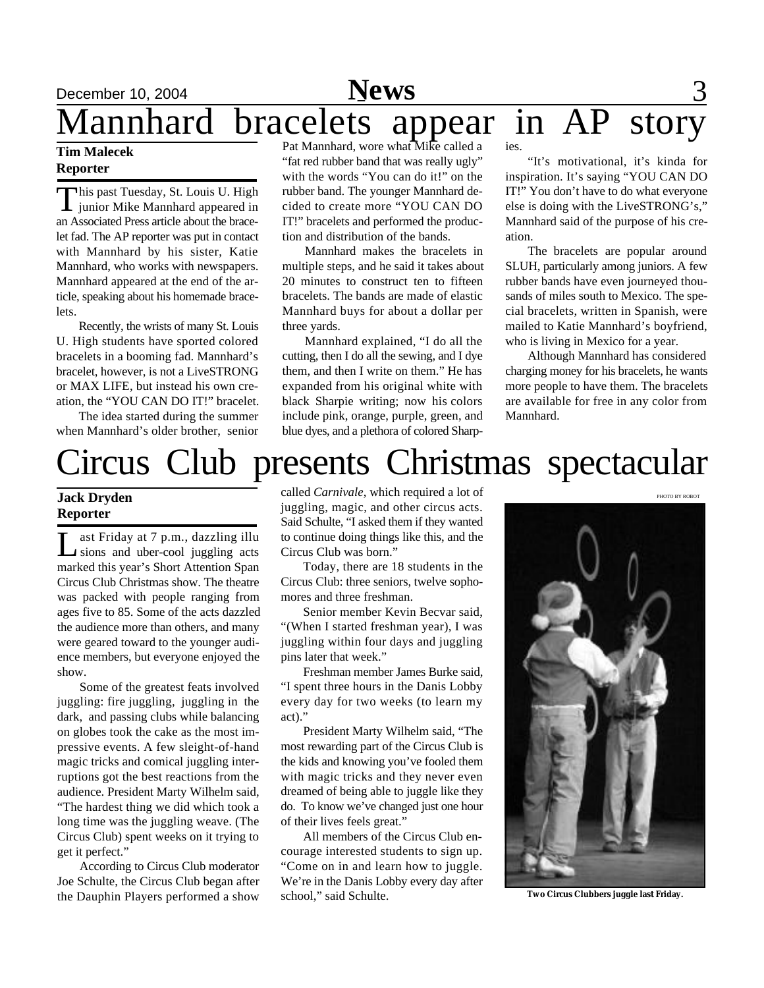

### **Tim Malecek Reporter**

This past Tuesday, St. Louis U. High<br>junior Mike Mannhard appeared in his past Tuesday, St. Louis U. High an Associated Press article about the bracelet fad. The AP reporter was put in contact with Mannhard by his sister, Katie Mannhard, who works with newspapers. Mannhard appeared at the end of the article, speaking about his homemade bracelets.

Recently, the wrists of many St. Louis U. High students have sported colored bracelets in a booming fad. Mannhard's bracelet, however, is not a LiveSTRONG or MAX LIFE, but instead his own creation, the "YOU CAN DO IT!" bracelet.

The idea started during the summer when Mannhard's older brother, senior

"fat red rubber band that was really ugly" with the words "You can do it!" on the rubber band. The younger Mannhard decided to create more "YOU CAN DO IT!" bracelets and performed the production and distribution of the bands.

Mannhard makes the bracelets in multiple steps, and he said it takes about 20 minutes to construct ten to fifteen bracelets. The bands are made of elastic Mannhard buys for about a dollar per three yards.

Mannhard explained, "I do all the cutting, then I do all the sewing, and I dye them, and then I write on them." He has expanded from his original white with black Sharpie writing; now his colors include pink, orange, purple, green, and blue dyes, and a plethora of colored Sharp-

"It's motivational, it's kinda for inspiration. It's saying "YOU CAN DO IT!" You don't have to do what everyone else is doing with the LiveSTRONG's," Mannhard said of the purpose of his creation.

The bracelets are popular around SLUH, particularly among juniors. A few rubber bands have even journeyed thousands of miles south to Mexico. The special bracelets, written in Spanish, were mailed to Katie Mannhard's boyfriend, who is living in Mexico for a year.

Although Mannhard has considered charging money for his bracelets, he wants more people to have them. The bracelets are available for free in any color from Mannhard.

PHOTO BY ROBOT

# Circus Club presents Christmas spectacular

## **Jack Dryden Reporter**

L ast Friday at 7 p.m., dazzling illu sions and uber-cool juggling acts marked this year's Short Attention Span Circus Club Christmas show. The theatre was packed with people ranging from ages five to 85. Some of the acts dazzled the audience more than others, and many were geared toward to the younger audience members, but everyone enjoyed the show.

Some of the greatest feats involved juggling: fire juggling, juggling in the dark, and passing clubs while balancing on globes took the cake as the most impressive events. A few sleight-of-hand magic tricks and comical juggling interruptions got the best reactions from the audience. President Marty Wilhelm said, "The hardest thing we did which took a long time was the juggling weave. (The Circus Club) spent weeks on it trying to get it perfect."

According to Circus Club moderator Joe Schulte, the Circus Club began after the Dauphin Players performed a show

called *Carnivale*, which required a lot of juggling, magic, and other circus acts. Said Schulte, "I asked them if they wanted to continue doing things like this, and the Circus Club was born."

Today, there are 18 students in the Circus Club: three seniors, twelve sophomores and three freshman.

Senior member Kevin Becvar said, "(When I started freshman year), I was juggling within four days and juggling pins later that week."

Freshman member James Burke said, "I spent three hours in the Danis Lobby every day for two weeks (to learn my act)."

President Marty Wilhelm said, "The most rewarding part of the Circus Club is the kids and knowing you've fooled them with magic tricks and they never even dreamed of being able to juggle like they do. To know we've changed just one hour of their lives feels great."

All members of the Circus Club encourage interested students to sign up. "Come on in and learn how to juggle. We're in the Danis Lobby every day after school," said Schulte.

**Two Circus Clubbers juggle last Friday.**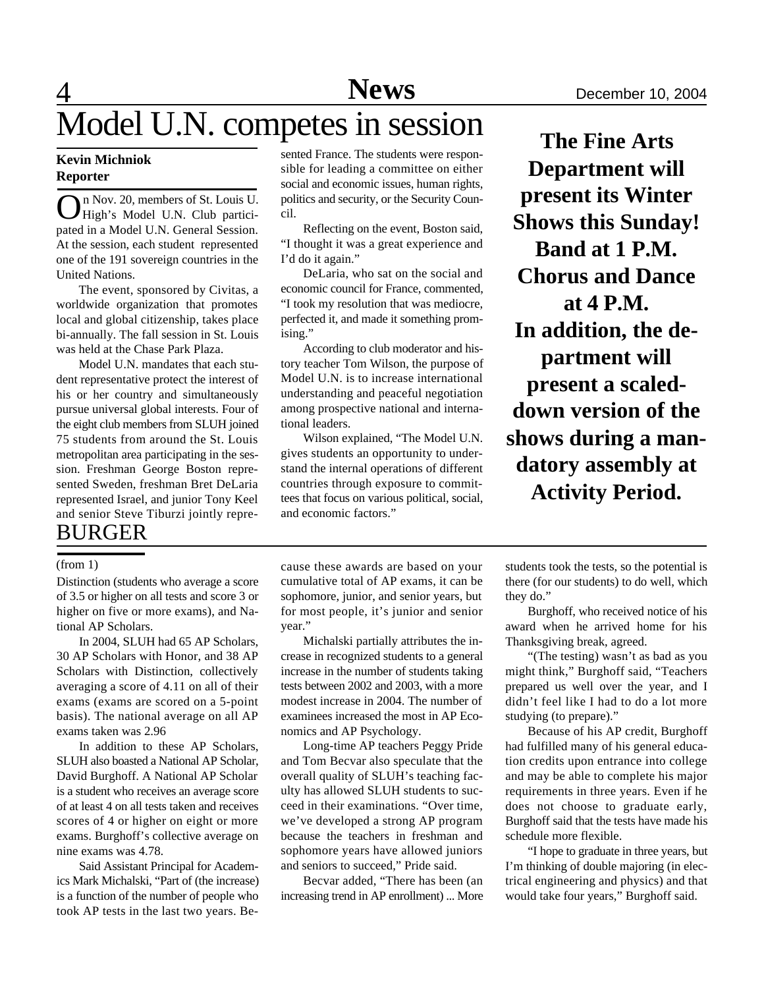# $\overline{4}$ Model U.N. competes in session The Fine Arts

## **Kevin Michniok Reporter**

On Nov. 20, members of St. Louis U.<br>High's Model U.N. Club particin Nov. 20, members of St. Louis U. pated in a Model U.N. General Session. At the session, each student represented one of the 191 sovereign countries in the United Nations.

The event, sponsored by Civitas, a worldwide organization that promotes local and global citizenship, takes place bi-annually. The fall session in St. Louis was held at the Chase Park Plaza.

Model U.N. mandates that each student representative protect the interest of his or her country and simultaneously pursue universal global interests. Four of the eight club members from SLUH joined 75 students from around the St. Louis metropolitan area participating in the session. Freshman George Boston represented Sweden, freshman Bret DeLaria represented Israel, and junior Tony Keel and senior Steve Tiburzi jointly repre-

## BURGER

Distinction (students who average a score of 3.5 or higher on all tests and score 3 or higher on five or more exams), and National AP Scholars.

In 2004, SLUH had 65 AP Scholars, 30 AP Scholars with Honor, and 38 AP Scholars with Distinction, collectively averaging a score of 4.11 on all of their exams (exams are scored on a 5-point basis). The national average on all AP exams taken was 2.96

In addition to these AP Scholars, SLUH also boasted a National AP Scholar, David Burghoff. A National AP Scholar is a student who receives an average score of at least 4 on all tests taken and receives scores of 4 or higher on eight or more exams. Burghoff's collective average on nine exams was 4.78.

Said Assistant Principal for Academics Mark Michalski, "Part of (the increase) is a function of the number of people who took AP tests in the last two years. Be-

sented France. The students were responsible for leading a committee on either social and economic issues, human rights, politics and security, or the Security Council.

Reflecting on the event, Boston said, "I thought it was a great experience and I'd do it again."

DeLaria, who sat on the social and economic council for France, commented, "I took my resolution that was mediocre, perfected it, and made it something promising."

According to club moderator and history teacher Tom Wilson, the purpose of Model U.N. is to increase international understanding and peaceful negotiation among prospective national and international leaders.

Wilson explained, "The Model U.N. gives students an opportunity to understand the internal operations of different countries through exposure to committees that focus on various political, social, and economic factors."

**Department will present its Winter Shows this Sunday! Band at 1 P.M. Chorus and Dance at 4 P.M. In addition, the department will present a scaleddown version of the shows during a mandatory assembly at Activity Period.**

cumulative total of AP exams, it can be sophomore, junior, and senior years, but for most people, it's junior and senior year."

Michalski partially attributes the increase in recognized students to a general increase in the number of students taking tests between 2002 and 2003, with a more modest increase in 2004. The number of examinees increased the most in AP Economics and AP Psychology.

Long-time AP teachers Peggy Pride and Tom Becvar also speculate that the overall quality of SLUH's teaching faculty has allowed SLUH students to succeed in their examinations. "Over time, we've developed a strong AP program because the teachers in freshman and sophomore years have allowed juniors and seniors to succeed," Pride said.

Becvar added, "There has been (an increasing trend in AP enrollment) ... More

(from 1) cause these awards are based on your students took the tests, so the potential is there (for our students) to do well, which they do."

> Burghoff, who received notice of his award when he arrived home for his Thanksgiving break, agreed.

> "(The testing) wasn't as bad as you might think," Burghoff said, "Teachers prepared us well over the year, and I didn't feel like I had to do a lot more studying (to prepare)."

> Because of his AP credit, Burghoff had fulfilled many of his general education credits upon entrance into college and may be able to complete his major requirements in three years. Even if he does not choose to graduate early, Burghoff said that the tests have made his schedule more flexible.

> "I hope to graduate in three years, but I'm thinking of double majoring (in electrical engineering and physics) and that would take four years," Burghoff said.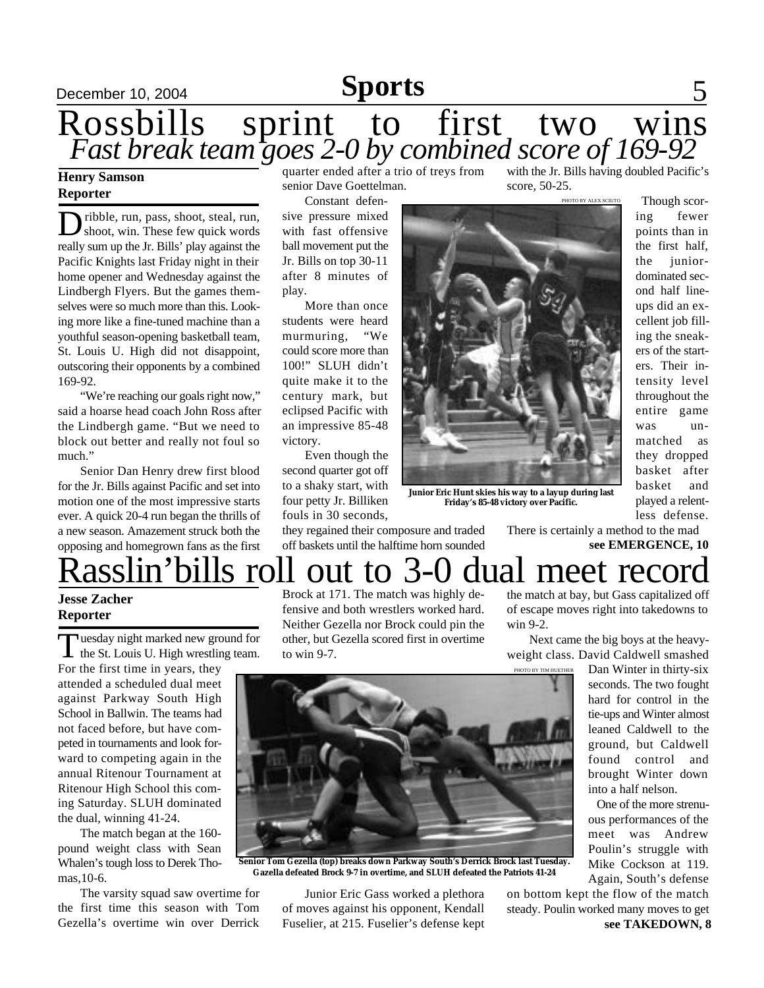# December 10, 2004 **Sports** 5

## Rossbills sprint to first two wins *Fast break team goes 2-0 by combined score of 169-92*

### **Henry Samson Reporter**

Dribble, run, pass, shoot, steal, run,<br>shoot, win. These few quick words shoot, win. These few quick words really sum up the Jr. Bills' play against the Pacific Knights last Friday night in their home opener and Wednesday against the Lindbergh Flyers. But the games themselves were so much more than this. Looking more like a fine-tuned machine than a youthful season-opening basketball team, St. Louis U. High did not disappoint, outscoring their opponents by a combined 169-92.

"We're reaching our goals right now," said a hoarse head coach John Ross after the Lindbergh game. "But we need to block out better and really not foul so much."

Senior Dan Henry drew first blood for the Jr. Bills against Pacific and set into motion one of the most impressive starts ever. A quick 20-4 run began the thrills of a new season. Amazement struck both the opposing and homegrown fans as the first quarter ended after a trio of treys from senior Dave Goettelman.

Constant defensive pressure mixed with fast offensive ball movement put the Jr. Bills on top 30-11 after 8 minutes of play.

More than once students were heard<br>murmuring, "We murmuring, could score more than 100!" SLUH didn't quite make it to the century mark, but eclipsed Pacific with an impressive 85-48 victory.

Even though the second quarter got off to a shaky start, with four petty Jr. Billiken fouls in 30 seconds,

they regained their composure and traded off baskets until the halftime horn sounded

with the Jr. Bills having doubled Pacific's score, 50-25.

PHOTO BY ALEX SCIUTO



**Junior Eric Hunt skies his way to a layup during last Friday's 85-48 victory over Pacific.**

Though scoring fewer points than in the first half, the *junior*dominated second half lineups did an excellent job filling the sneakers of the starters. Their intensity level throughout the entire game was unmatched as they dropped basket after basket and played a relentless defense.

**see EMERGENCE, 10** There is certainly a method to the mad

# asslin'bills roll out to 3-0 dual meet record

## **Jesse Zacher Reporter**

Tuesday night marked new ground for<br>the St. Louis U. High wrestling team. **Tuesday night marked new ground for** 

For the first time in years, they attended a scheduled dual meet against Parkway South High School in Ballwin. The teams had not faced before, but have competed in tournaments and look forward to competing again in the annual Ritenour Tournament at Ritenour High School this coming Saturday. SLUH dominated the dual, winning 41-24.

The match began at the 160 pound weight class with Sean Whalen's tough loss to Derek Thomas,10-6.

The varsity squad saw overtime for the first time this season with Tom Gezella's overtime win over Derrick

Brock at 171. The match was highly defensive and both wrestlers worked hard. Neither Gezella nor Brock could pin the other, but Gezella scored first in overtime to win 9-7.

the match at bay, but Gass capitalized off of escape moves right into takedowns to win 9-2.

Next came the big boys at the heavyweight class. David Caldwell smashed

PHOTO BY TIM HUETHER

Dan Winter in thirty-six seconds. The two fought hard for control in the tie-ups and Winter almost leaned Caldwell to the ground, but Caldwell found control and brought Winter down into a half nelson.

One of the more strenuous performances of the meet was Andrew Poulin's struggle with Mike Cockson at 119. Again, South's defense



**Senior Tom Gezella (top) breaks down Parkway South's Derrick Brock last Tuesday. Gazella defeated Brock 9-7 in overtime, and SLUH defeated the Patriots 41-24**

Junior Eric Gass worked a plethora of moves against his opponent, Kendall Fuselier, at 215. Fuselier's defense kept

**see TAKEDOWN, 8** on bottom kept the flow of the match steady. Poulin worked many moves to get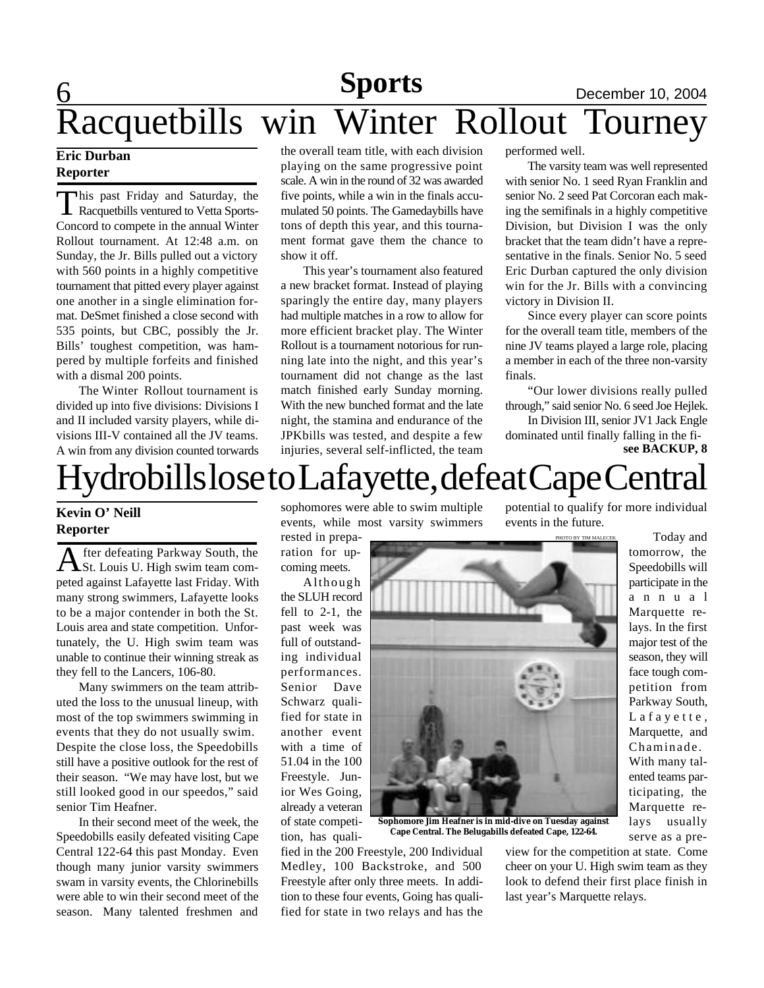## 6 **Sports** December 10, 2004<br>Winter Rollout Tourney Racquetbills win Winter Rollout Tourney

## **Eric Durban Reporter**

T his past Friday and Saturday, the Racquetbills ventured to Vetta Sports-Concord to compete in the annual Winter Rollout tournament. At 12:48 a.m. on Sunday, the Jr. Bills pulled out a victory with 560 points in a highly competitive tournament that pitted every player against one another in a single elimination format. DeSmet finished a close second with 535 points, but CBC, possibly the Jr. Bills' toughest competition, was hampered by multiple forfeits and finished with a dismal 200 points.

The Winter Rollout tournament is divided up into five divisions: Divisions I and II included varsity players, while divisions III-V contained all the JV teams. A win from any division counted torwards

the overall team title, with each division playing on the same progressive point scale. A win in the round of 32 was awarded five points, while a win in the finals accumulated 50 points. The Gamedaybills have tons of depth this year, and this tournament format gave them the chance to show it off.

This year's tournament also featured a new bracket format. Instead of playing sparingly the entire day, many players had multiple matches in a row to allow for more efficient bracket play. The Winter Rollout is a tournament notorious for running late into the night, and this year's tournament did not change as the last match finished early Sunday morning. With the new bunched format and the late night, the stamina and endurance of the JPKbills was tested, and despite a few injuries, several self-inflicted, the team

performed well.

The varsity team was well represented with senior No. 1 seed Ryan Franklin and senior No. 2 seed Pat Corcoran each making the semifinals in a highly competitive Division, but Division I was the only bracket that the team didn't have a representative in the finals. Senior No. 5 seed Eric Durban captured the only division win for the Jr. Bills with a convincing victory in Division II.

Since every player can score points for the overall team title, members of the nine JV teams played a large role, placing a member in each of the three non-varsity finals.

"Our lower divisions really pulled through," said senior No. 6 seed Joe Hejlek.

In Division III, senior JV1 Jack Engle dominated until finally falling in the fi**see BACKUP, 8**

# [ydrobills lose to Lafayette, defeat Cape Central

## **Kevin O' Neill Reporter**

A fter defeating Parkway South, the St. Louis U. High swim team comfter defeating Parkway South, the peted against Lafayette last Friday. With many strong swimmers, Lafayette looks to be a major contender in both the St. Louis area and state competition. Unfortunately, the U. High swim team was unable to continue their winning streak as they fell to the Lancers, 106-80.

Many swimmers on the team attributed the loss to the unusual lineup, with most of the top swimmers swimming in events that they do not usually swim. Despite the close loss, the Speedobills still have a positive outlook for the rest of their season. "We may have lost, but we still looked good in our speedos," said senior Tim Heafner.

In their second meet of the week, the Speedobills easily defeated visiting Cape Central 122-64 this past Monday. Even though many junior varsity swimmers swam in varsity events, the Chlorinebills were able to win their second meet of the season. Many talented freshmen and

sophomores were able to swim multiple events, while most varsity swimmers

rested in preparation for upcoming meets.

Although the SLUH record fell to 2-1, the past week was full of outstanding individual performances. Senior Dave Schwarz qualified for state in another event with a time of 51.04 in the 100 Freestyle. Junior Wes Going, already a veteran of state competition, has quali-

fied in the 200 Freestyle, 200 Individual Medley, 100 Backstroke, and 500 Freestyle after only three meets. In addition to these four events, Going has qualified for state in two relays and has the

potential to qualify for more individual events in the future.

PHOTO BY TIM MALECEK

 Today and tomorrow, the Speedobills will participate in the a n n u a l Marquette relays. In the first major test of the season, they will face tough competition from Parkway South, L a f a y e t t e, Marquette, and Chaminade. With many talented teams participating, the Marquette relays usually serve as a pre-

**Sophomore Jim Heafner is in mid-dive on Tuesday against Cape Central. The Belugabills defeated Cape, 122-64.**

view for the competition at state. Come cheer on your U. High swim team as they look to defend their first place finish in last year's Marquette relays.

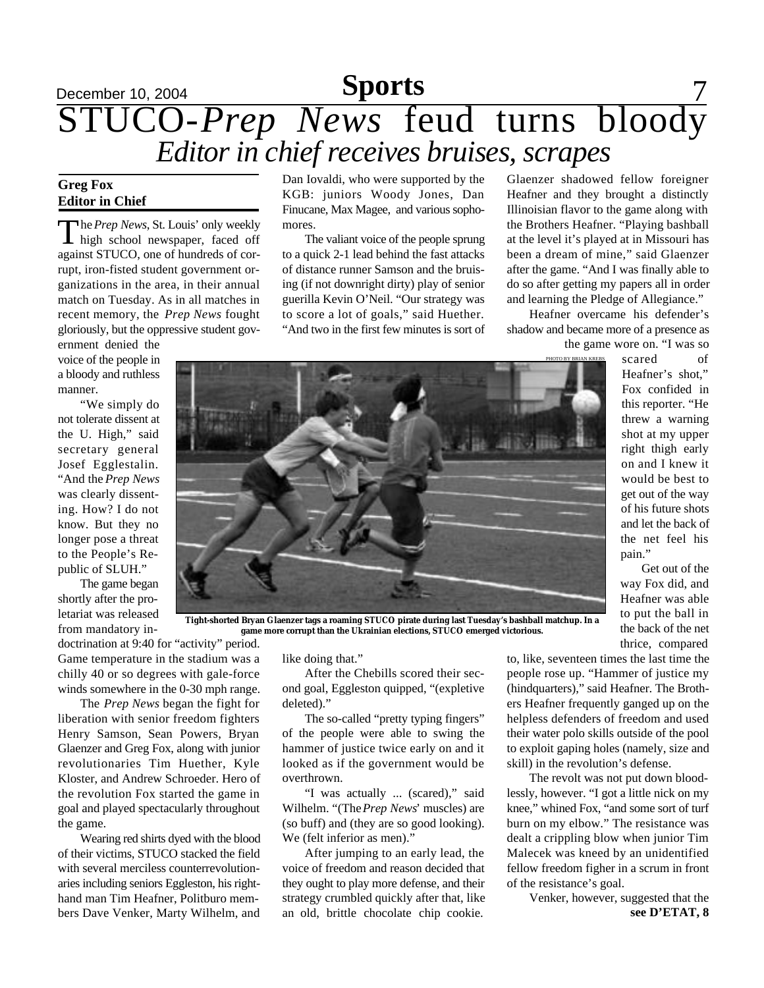# December 10, 2004 **Sports** 7 **Sports** STUCO-*Prep News* feud turns bloody *Editor in chief receives bruises, scrapes*

## **Greg Fox Editor in Chief**

The Prep News, St. Louis' only weekly<br>high school newspaper, faced off he *Prep News*, St. Louis' only weekly against STUCO, one of hundreds of corrupt, iron-fisted student government organizations in the area, in their annual match on Tuesday. As in all matches in recent memory, the *Prep News* fought gloriously, but the oppressive student gov-

ernment denied the voice of the people in a bloody and ruthless manner.

"We simply do not tolerate dissent at the U. High," said secretary general Josef Egglestalin. "And the *Prep News* was clearly dissenting. How? I do not know. But they no longer pose a threat to the People's Republic of SLUH."

The game began shortly after the proletariat was released from mandatory in-

Dan Iovaldi, who were supported by the KGB: juniors Woody Jones, Dan Finucane, Max Magee, and various sophomores.

The valiant voice of the people sprung to a quick 2-1 lead behind the fast attacks of distance runner Samson and the bruising (if not downright dirty) play of senior guerilla Kevin O'Neil. "Our strategy was to score a lot of goals," said Huether. "And two in the first few minutes is sort of Glaenzer shadowed fellow foreigner Heafner and they brought a distinctly Illinoisian flavor to the game along with the Brothers Heafner. "Playing bashball at the level it's played at in Missouri has been a dream of mine," said Glaenzer after the game. "And I was finally able to do so after getting my papers all in order and learning the Pledge of Allegiance."

Heafner overcame his defender's shadow and became more of a presence as the game wore on. "I was so

scared of Heafner's shot," Fox confided in this reporter. "He threw a warning shot at my upper right thigh early on and I knew it would be best to get out of the way of his future shots and let the back of the net feel his pain."

Get out of the way Fox did, and Heafner was able to put the ball in the back of the net thrice, compared



**Tight-shorted Bryan Glaenzer tags a roaming STUCO pirate during last Tuesday's bashball matchup. In a game more corrupt than the Ukrainian elections, STUCO emerged victorious.**

doctrination at 9:40 for "activity" period. Game temperature in the stadium was a chilly 40 or so degrees with gale-force winds somewhere in the 0-30 mph range.

The *Prep News* began the fight for liberation with senior freedom fighters Henry Samson, Sean Powers, Bryan Glaenzer and Greg Fox, along with junior revolutionaries Tim Huether, Kyle Kloster, and Andrew Schroeder. Hero of the revolution Fox started the game in goal and played spectacularly throughout the game.

Wearing red shirts dyed with the blood of their victims, STUCO stacked the field with several merciless counterrevolutionaries including seniors Eggleston, his righthand man Tim Heafner, Politburo members Dave Venker, Marty Wilhelm, and like doing that."

After the Chebills scored their second goal, Eggleston quipped, "(expletive deleted)."

The so-called "pretty typing fingers" of the people were able to swing the hammer of justice twice early on and it looked as if the government would be overthrown.

"I was actually ... (scared)," said Wilhelm. "(The *Prep News*' muscles) are (so buff) and (they are so good looking). We (felt inferior as men)."

After jumping to an early lead, the voice of freedom and reason decided that they ought to play more defense, and their strategy crumbled quickly after that, like an old, brittle chocolate chip cookie. **see D'ETAT, 8**

to, like, seventeen times the last time the people rose up. "Hammer of justice my (hindquarters)," said Heafner. The Brothers Heafner frequently ganged up on the helpless defenders of freedom and used their water polo skills outside of the pool to exploit gaping holes (namely, size and skill) in the revolution's defense.

The revolt was not put down bloodlessly, however. "I got a little nick on my knee," whined Fox, "and some sort of turf burn on my elbow." The resistance was dealt a crippling blow when junior Tim Malecek was kneed by an unidentified fellow freedom figher in a scrum in front of the resistance's goal.

Venker, however, suggested that the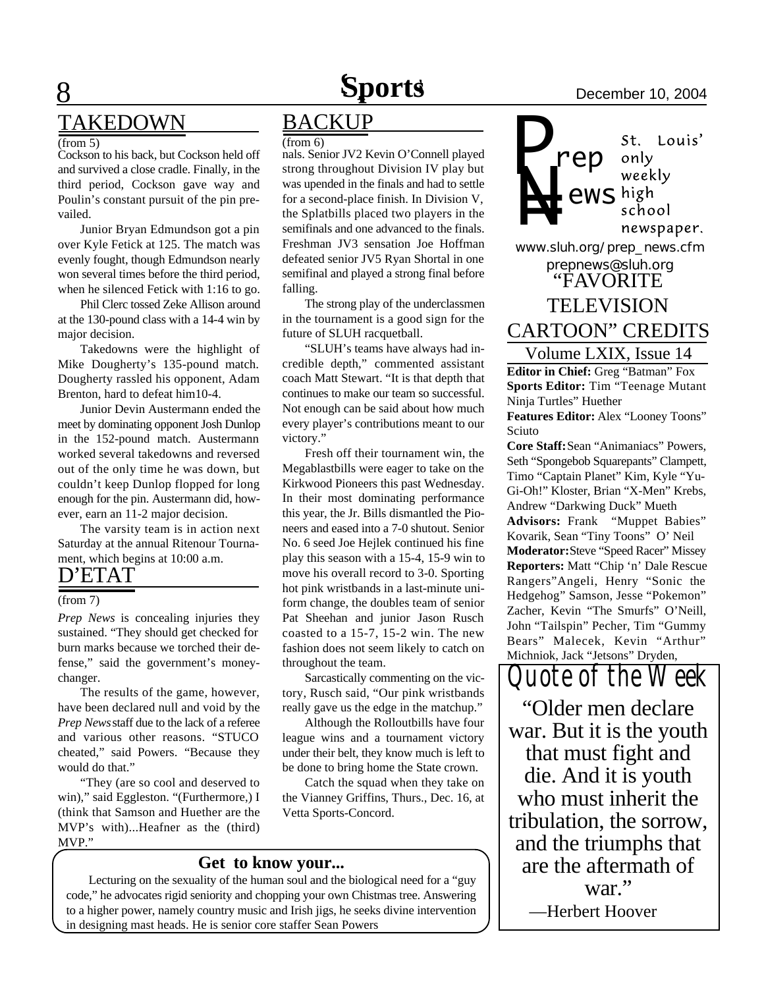# **Sports** December 10, 2004

## 8 TAKEDOWN

### (from 5)

Cockson to his back, but Cockson held off and survived a close cradle. Finally, in the third period, Cockson gave way and Poulin's constant pursuit of the pin prevailed.

Junior Bryan Edmundson got a pin over Kyle Fetick at 125. The match was evenly fought, though Edmundson nearly won several times before the third period, when he silenced Fetick with 1:16 to go.

Phil Clerc tossed Zeke Allison around at the 130-pound class with a 14-4 win by major decision.

Takedowns were the highlight of Mike Dougherty's 135-pound match. Dougherty rassled his opponent, Adam Brenton, hard to defeat him10-4.

Junior Devin Austermann ended the meet by dominating opponent Josh Dunlop in the 152-pound match. Austermann worked several takedowns and reversed out of the only time he was down, but couldn't keep Dunlop flopped for long enough for the pin. Austermann did, however, earn an 11-2 major decision.

The varsity team is in action next Saturday at the annual Ritenour Tournament, which begins at 10:00 a.m.

## D'ETAT

### (from 7)

burn marks because we torched their defense," said the government's moneychanger. *Prep News* is concealing injuries they sustained. "They should get checked for

The results of the game, however, have been declared null and void by the *Prep News* staff due to the lack of a referee and various other reasons. "STUCO cheated," said Powers. "Because they would do that."

"They (are so cool and deserved to win)," said Eggleston. "(Furthermore,) I (think that Samson and Huether are the MVP's with)...Heafner as the (third) MVP."

## BACKUP

 $(from 6)$ 

nals. Senior JV2 Kevin O'Connell played strong throughout Division IV play but was upended in the finals and had to settle for a second-place finish. In Division V, the Splatbills placed two players in the semifinals and one advanced to the finals. Freshman JV3 sensation Joe Hoffman defeated senior JV5 Ryan Shortal in one semifinal and played a strong final before falling.

The strong play of the underclassmen in the tournament is a good sign for the future of SLUH racquetball.

"SLUH's teams have always had incredible depth," commented assistant coach Matt Stewart. "It is that depth that continues to make our team so successful. Not enough can be said about how much every player's contributions meant to our victory."

Fresh off their tournament win, the Megablastbills were eager to take on the Kirkwood Pioneers this past Wednesday. In their most dominating performance this year, the Jr. Bills dismantled the Pioneers and eased into a 7-0 shutout. Senior No. 6 seed Joe Hejlek continued his fine play this season with a 15-4, 15-9 win to move his overall record to 3-0. Sporting hot pink wristbands in a last-minute uniform change, the doubles team of senior Pat Sheehan and junior Jason Rusch coasted to a 15-7, 15-2 win. The new fashion does not seem likely to catch on throughout the team.

Sarcastically commenting on the victory, Rusch said, "Our pink wristbands really gave us the edge in the matchup."

Although the Rolloutbills have four league wins and a tournament victory under their belt, they know much is left to be done to bring home the State crown.

Catch the squad when they take on the Vianney Griffins, Thurs., Dec. 16, at Vetta Sports-Concord.

## **Get to know your...**

Lecturing on the sexuality of the human soul and the biological need for a "guy code," he advocates rigid seniority and chopping your own Chistmas tree. Answering to a higher power, namely country music and Irish jigs, he seeks divine intervention in designing mast heads. He is senior core staffer Sean Powers

*P* St. Louis' *rep* only weekly **NEX**<br>**NEX**<br>*WWW.sluh.org/prep\_news.cfm ews* school newspaper. *prepnews@sluh.org* "FAVORITE TELEVISION CARTOON" CREDITS

Volume LXIX, Issue 14 **Editor in Chief:** Greg "Batman" Fox **Sports Editor:** Tim "Teenage Mutant Ninja Turtles" Huether **Features Editor:** Alex "Looney Toons"

Sciuto **Core Staff:** Sean "Animaniacs" Powers, Seth "Spongebob Squarepants" Clampett, Timo "Captain Planet" Kim, Kyle "Yu-Gi-Oh!" Kloster, Brian "X-Men" Krebs, Andrew "Darkwing Duck" Mueth **Advisors:** Frank "Muppet Babies" Kovarik, Sean "Tiny Toons" O' Neil **Moderator:** Steve "Speed Racer" Missey **Reporters:** Matt "Chip 'n' Dale Rescue Rangers"Angeli, Henry "Sonic the Hedgehog" Samson, Jesse "Pokemon" Zacher, Kevin "The Smurfs" O'Neill, John "Tailspin" Pecher, Tim "Gummy Bears" Malecek, Kevin "Arthur" Michniok, Jack "Jetsons" Dryden,

*Quote of the Week* "Older men declare war. But it is the youth that must fight and die. And it is youth who must inherit the tribulation, the sorrow, and the triumphs that are the aftermath of war." —Herbert Hoover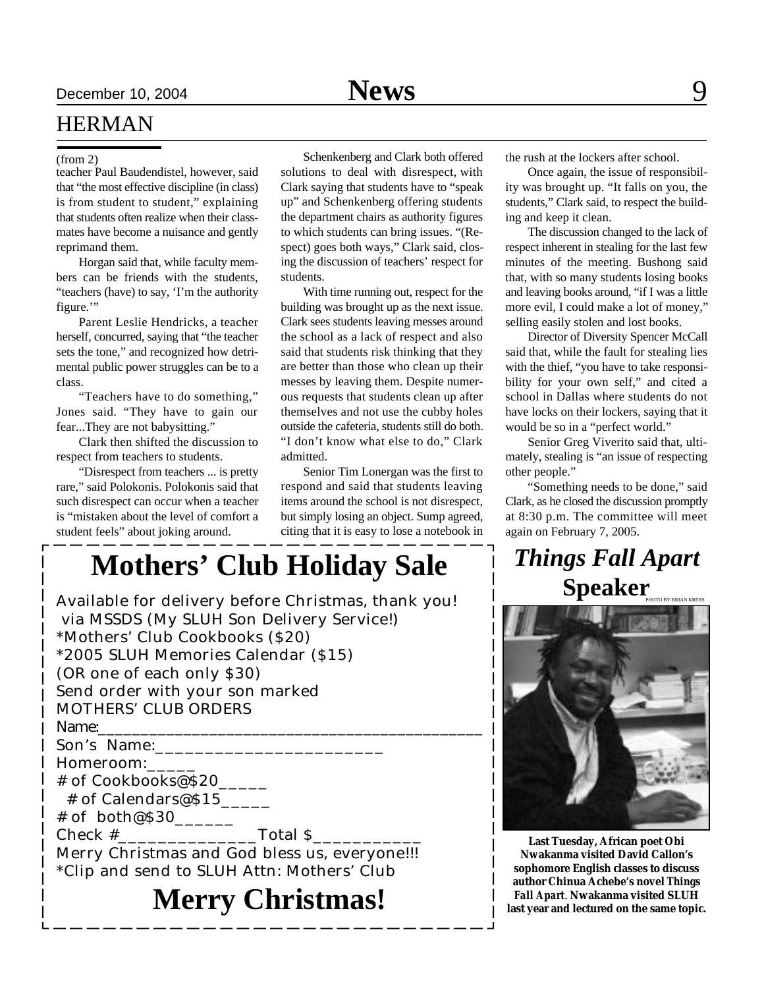## HERMAN

teacher Paul Baudendistel, however, said that "the most effective discipline (in class) is from student to student," explaining that students often realize when their classmates have become a nuisance and gently reprimand them.

Horgan said that, while faculty members can be friends with the students, "teachers (have) to say, 'I'm the authority figure."

Parent Leslie Hendricks, a teacher herself, concurred, saying that "the teacher sets the tone," and recognized how detrimental public power struggles can be to a class.

"Teachers have to do something," Jones said. "They have to gain our fear...They are not babysitting."

Clark then shifted the discussion to respect from teachers to students.

"Disrespect from teachers ... is pretty rare," said Polokonis. Polokonis said that such disrespect can occur when a teacher is "mistaken about the level of comfort a student feels" about joking around.

(from 2) Schenkenberg and Clark both offered solutions to deal with disrespect, with Clark saying that students have to "speak up" and Schenkenberg offering students the department chairs as authority figures to which students can bring issues. "(Respect) goes both ways," Clark said, closing the discussion of teachers' respect for students.

> With time running out, respect for the building was brought up as the next issue. Clark sees students leaving messes around the school as a lack of respect and also said that students risk thinking that they are better than those who clean up their messes by leaving them. Despite numerous requests that students clean up after themselves and not use the cubby holes outside the cafeteria, students still do both. "I don't know what else to do," Clark admitted.

> Senior Tim Lonergan was the first to respond and said that students leaving items around the school is not disrespect, but simply losing an object. Sump agreed, citing that it is easy to lose a notebook in

## **Mothers' Club Holiday Sale**

| Available for delivery before Christmas, thank you!<br>via MSSDS (My SLUH Son Delivery Service!)<br>*Mothers' Club Cookbooks (\$20)<br>*2005 SLUH Memories Calendar (\$15)<br>(OR one of each only \$30)<br>Send order with your son marked |
|---------------------------------------------------------------------------------------------------------------------------------------------------------------------------------------------------------------------------------------------|
| <b>MOTHERS' CLUB ORDERS</b>                                                                                                                                                                                                                 |
| Name:                                                                                                                                                                                                                                       |
| Son's Name:                                                                                                                                                                                                                                 |
| Homeroom:                                                                                                                                                                                                                                   |
| # of Cookbooks@\$20                                                                                                                                                                                                                         |
| # of Calendars@\$15                                                                                                                                                                                                                         |
| # of both@\$30                                                                                                                                                                                                                              |
|                                                                                                                                                                                                                                             |
| Merry Christmas and God bless us, everyone!!!<br>*Clip and send to SLUH Attn: Mothers' Club                                                                                                                                                 |
| <b>Merry Christmas!</b>                                                                                                                                                                                                                     |

the rush at the lockers after school.

Once again, the issue of responsibility was brought up. "It falls on you, the students," Clark said, to respect the building and keep it clean.

The discussion changed to the lack of respect inherent in stealing for the last few minutes of the meeting. Bushong said that, with so many students losing books and leaving books around, "if I was a little more evil, I could make a lot of money," selling easily stolen and lost books.

Director of Diversity Spencer McCall said that, while the fault for stealing lies with the thief, "you have to take responsibility for your own self," and cited a school in Dallas where students do not have locks on their lockers, saying that it would be so in a "perfect world."

Senior Greg Viverito said that, ultimately, stealing is "an issue of respecting other people."

"Something needs to be done," said Clark, as he closed the discussion promptly at 8:30 p.m. The committee will meet again on February 7, 2005.

## PHOTO BY BRIAN KREBS *Things Fall Apart* **Speaker**



**Last Tuesday, African poet Obi Nwakanma visited David Callon's sophomore English classes to discuss author Chinua Achebe's novel** *Things Fall Apart*. **Nwakanma visited SLUH last year and lectured on the same topic.**